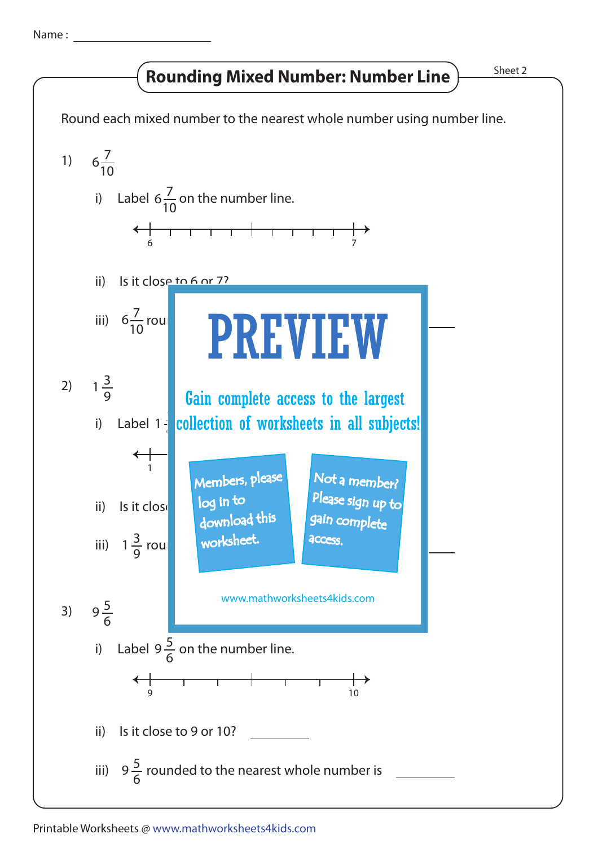Name :

## Rounding Mixed Number: Number Line  $\frac{\text{Sheet 2}}{\text{Sheet 2}}$